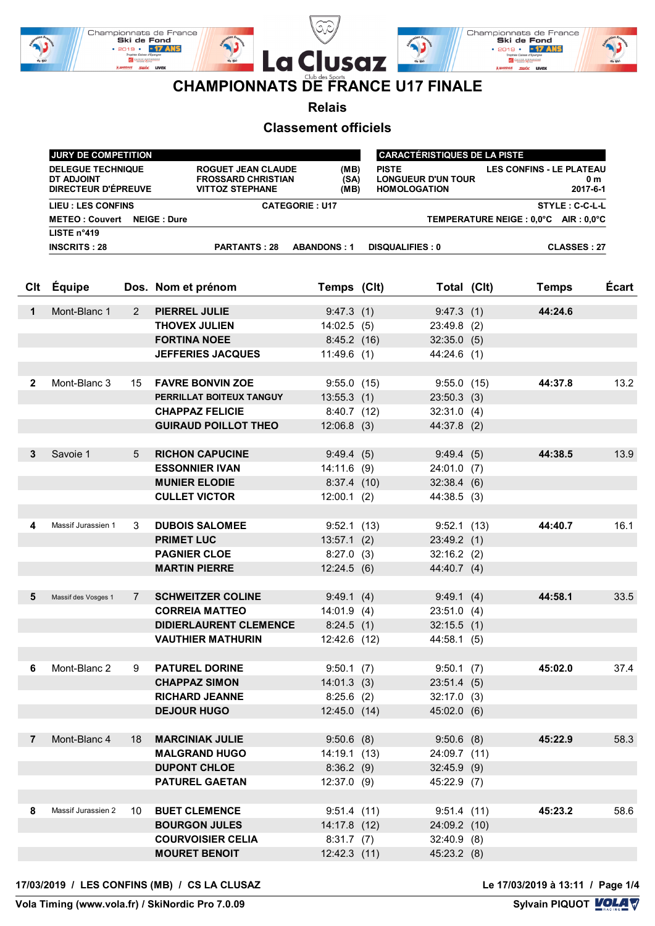

**Relais**

#### **Classement officiels**

|              | JURY DE COMPETITION<br><b>CARACTÉRISTIQUES DE LA PISTE</b>    |                       |                                                                                                   |                             |  |                                                                  |  |                                                    |       |
|--------------|---------------------------------------------------------------|-----------------------|---------------------------------------------------------------------------------------------------|-----------------------------|--|------------------------------------------------------------------|--|----------------------------------------------------|-------|
|              | <b>DELEGUE TECHNIQUE</b><br>DT ADJOINT<br>DIRECTEUR D'ÉPREUVE |                       | ROGUET JEAN CLAUDE<br>(MB)<br><b>FROSSARD CHRISTIAN</b><br>(SA)<br><b>VITTOZ STEPHANE</b><br>(MB) |                             |  | <b>PISTE</b><br><b>LONGUEUR D'UN TOUR</b><br><b>HOMOLOGATION</b> |  | <b>LES CONFINS - LE PLATEAU</b><br>0 m<br>2017-6-1 |       |
|              | <b>LIEU : LES CONFINS</b>                                     |                       |                                                                                                   | <b>CATEGORIE: U17</b>       |  |                                                                  |  | STYLE: C-C-L-L                                     |       |
|              | <b>METEO: Couvert</b>                                         |                       | <b>NEIGE: Dure</b>                                                                                |                             |  |                                                                  |  | TEMPERATURE NEIGE : 0,0°C AIR : 0,0°C              |       |
|              | LISTE n°419                                                   |                       |                                                                                                   |                             |  |                                                                  |  |                                                    |       |
|              | <b>INSCRITS: 28</b>                                           |                       | <b>PARTANTS: 28</b>                                                                               | <b>ABANDONS: 1</b>          |  | <b>DISQUALIFIES: 0</b>                                           |  | <b>CLASSES: 27</b>                                 |       |
| Clt          | Équipe                                                        |                       | Dos. Nom et prénom                                                                                | Temps (Clt)                 |  | Total (Clt)                                                      |  | <b>Temps</b>                                       | Écart |
| $\mathbf 1$  | Mont-Blanc 1                                                  | $\mathbf{2}^{\prime}$ | PIERREL JULIE                                                                                     | 9:47.3(1)                   |  | 9:47.3(1)                                                        |  | 44:24.6                                            |       |
|              |                                                               |                       | <b>THOVEX JULIEN</b>                                                                              | 14:02.5(5)                  |  | 23:49.8 (2)                                                      |  |                                                    |       |
|              |                                                               |                       | <b>FORTINA NOEE</b>                                                                               | 8:45.2(16)                  |  | 32:35.0(5)                                                       |  |                                                    |       |
|              |                                                               |                       | <b>JEFFERIES JACQUES</b>                                                                          | 11:49.6(1)                  |  | 44:24.6 (1)                                                      |  |                                                    |       |
|              |                                                               |                       |                                                                                                   |                             |  |                                                                  |  |                                                    |       |
| $\mathbf{2}$ | Mont-Blanc 3                                                  | 15                    | <b>FAVRE BONVIN ZOE</b>                                                                           | 9:55.0(15)                  |  | 9:55.0(15)                                                       |  | 44:37.8                                            | 13.2  |
|              |                                                               |                       | PERRILLAT BOITEUX TANGUY                                                                          | 13:55.3(1)                  |  | $23:50.3$ (3)                                                    |  |                                                    |       |
|              |                                                               |                       | <b>CHAPPAZ FELICIE</b>                                                                            | 8:40.7(12)                  |  | 32:31.0(4)                                                       |  |                                                    |       |
|              |                                                               |                       | <b>GUIRAUD POILLOT THEO</b>                                                                       | $12:06.8$ (3)               |  | 44:37.8 (2)                                                      |  |                                                    |       |
| 3            | Savoie 1                                                      | 5                     | <b>RICHON CAPUCINE</b>                                                                            | 9:49.4(5)                   |  | 9:49.4(5)                                                        |  | 44:38.5                                            | 13.9  |
|              |                                                               |                       | <b>ESSONNIER IVAN</b>                                                                             | $14:11.6$ (9)               |  | $24:01.0$ (7)                                                    |  |                                                    |       |
|              |                                                               |                       | <b>MUNIER ELODIE</b>                                                                              | 8:37.4(10)                  |  | 32:38.4(6)                                                       |  |                                                    |       |
|              |                                                               |                       | <b>CULLET VICTOR</b>                                                                              | $12:00.1$ (2)               |  | 44:38.5 (3)                                                      |  |                                                    |       |
| 4            | Massif Jurassien 1                                            | 3                     | <b>DUBOIS SALOMEE</b>                                                                             |                             |  |                                                                  |  | 44:40.7                                            | 16.1  |
|              |                                                               |                       | <b>PRIMET LUC</b>                                                                                 | 9:52.1(13)<br>$13:57.1$ (2) |  | 9:52.1(13)<br>23:49.2(1)                                         |  |                                                    |       |
|              |                                                               |                       | <b>PAGNIER CLOE</b>                                                                               | $8:27.0$ (3)                |  | $32:16.2$ (2)                                                    |  |                                                    |       |
|              |                                                               |                       | <b>MARTIN PIERRE</b>                                                                              | 12:24.5(6)                  |  | 44:40.7 (4)                                                      |  |                                                    |       |
|              |                                                               |                       |                                                                                                   |                             |  |                                                                  |  |                                                    |       |
| 5            | Massif des Vosges 1                                           | 7                     | <b>SCHWEITZER COLINE</b>                                                                          | 9:49.1(4)                   |  | 9:49.1(4)                                                        |  | 44:58.1                                            | 33.5  |
|              |                                                               |                       | <b>CORREIA MATTEO</b>                                                                             | $14:01.9$ (4)               |  | $23:51.0$ (4)                                                    |  |                                                    |       |
|              |                                                               |                       | <b>DIDIERLAURENT CLEMENCE</b>                                                                     | 8:24.5(1)                   |  | $32:15.5$ (1)                                                    |  |                                                    |       |
|              |                                                               |                       | <b>VAUTHIER MATHURIN</b>                                                                          | 12:42.6 (12)                |  | 44:58.1 (5)                                                      |  |                                                    |       |
|              |                                                               |                       |                                                                                                   |                             |  |                                                                  |  |                                                    |       |
| 6            | Mont-Blanc 2                                                  | 9                     | <b>PATUREL DORINE</b>                                                                             | 9:50.1(7)                   |  | 9:50.1(7)                                                        |  | 45:02.0                                            | 37.4  |
|              |                                                               |                       | <b>CHAPPAZ SIMON</b>                                                                              | 14:01.3(3)                  |  | 23:51.4(5)                                                       |  |                                                    |       |
|              |                                                               |                       | <b>RICHARD JEANNE</b>                                                                             | 8:25.6(2)                   |  | $32:17.0$ (3)                                                    |  |                                                    |       |
|              |                                                               |                       | <b>DEJOUR HUGO</b>                                                                                | 12:45.0(14)                 |  | 45:02.0 (6)                                                      |  |                                                    |       |
|              |                                                               |                       |                                                                                                   |                             |  |                                                                  |  |                                                    |       |
| 7            | Mont-Blanc 4                                                  | 18                    | <b>MARCINIAK JULIE</b>                                                                            | $9:50.6$ (8)                |  | $9:50.6$ (8)                                                     |  | 45:22.9                                            | 58.3  |
|              |                                                               |                       | <b>MALGRAND HUGO</b>                                                                              | 14:19.1 (13)                |  | 24:09.7 (11)                                                     |  |                                                    |       |
|              |                                                               |                       | <b>DUPONT CHLOE</b><br><b>PATUREL GAETAN</b>                                                      | 8:36.2(9)                   |  | $32:45.9$ (9)                                                    |  |                                                    |       |
|              |                                                               |                       |                                                                                                   | $12:37.0$ (9)               |  | 45:22.9 (7)                                                      |  |                                                    |       |
| 8            | Massif Jurassien 2                                            | 10                    | <b>BUET CLEMENCE</b>                                                                              | 9:51.4(11)                  |  | 9:51.4(11)                                                       |  | 45:23.2                                            | 58.6  |
|              |                                                               |                       | <b>BOURGON JULES</b>                                                                              | 14:17.8 (12)                |  | 24:09.2 (10)                                                     |  |                                                    |       |
|              |                                                               |                       | <b>COURVOISIER CELIA</b>                                                                          | 8:31.7(7)                   |  | $32:40.9$ (8)                                                    |  |                                                    |       |
|              |                                                               |                       | <b>MOURET BENOIT</b>                                                                              | 12:42.3(11)                 |  | 45:23.2 (8)                                                      |  |                                                    |       |
|              |                                                               |                       |                                                                                                   |                             |  |                                                                  |  |                                                    |       |

#### **17/03/2019 / LES CONFINS (MB) / CS LA CLUSAZ Le 17/03/2019 à 13:11 / Page 1/4**

Le 17/03/2019 à 13:11 / Page 1/4<br>Sylvain PIQUOT **LOLA** 

**Vola Timing (www.vola.fr) / SkiNordic Pro 7.0.09**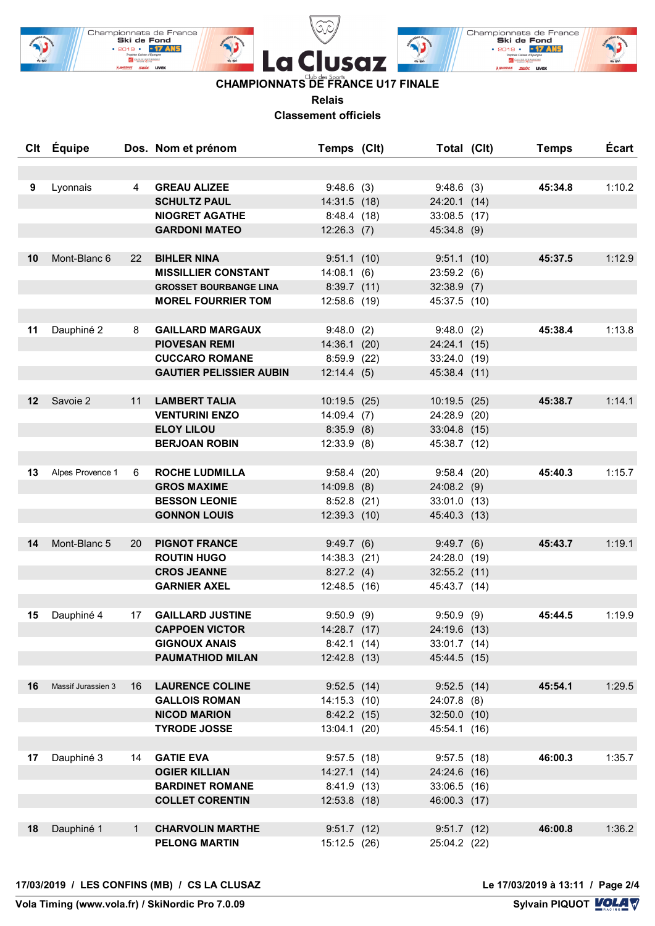

# **CHAMPIONNATS DE FRANCE U17 FINALE**

**Relais**

**Classement officiels**

|    | Clt Équipe         |              | Dos. Nom et prénom                         | Temps (Clt)                | Total (Clt)    | <b>Temps</b> | <b>Écart</b> |
|----|--------------------|--------------|--------------------------------------------|----------------------------|----------------|--------------|--------------|
|    |                    |              |                                            |                            |                |              |              |
| 9  | Lyonnais           | 4            | <b>GREAU ALIZEE</b>                        | 9:48.6(3)                  | 9:48.6(3)      | 45:34.8      | 1:10.2       |
|    |                    |              | <b>SCHULTZ PAUL</b>                        | 14:31.5 (18)               | 24:20.1 (14)   |              |              |
|    |                    |              | <b>NIOGRET AGATHE</b>                      | 8:48.4(18)                 | 33:08.5 (17)   |              |              |
|    |                    |              | <b>GARDONI MATEO</b>                       | $12:26.3$ (7)              | 45:34.8 (9)    |              |              |
|    |                    |              |                                            |                            |                |              |              |
| 10 | Mont-Blanc 6       | 22           | <b>BIHLER NINA</b>                         | 9:51.1(10)                 | 9:51.1(10)     | 45:37.5      | 1:12.9       |
|    |                    |              | <b>MISSILLIER CONSTANT</b>                 | 14:08.1(6)                 | 23:59.2(6)     |              |              |
|    |                    |              | <b>GROSSET BOURBANGE LINA</b>              | $8:39.7$ (11)              | $32:38.9$ (7)  |              |              |
|    |                    |              | <b>MOREL FOURRIER TOM</b>                  | 12:58.6 (19)               | 45:37.5 (10)   |              |              |
|    |                    |              |                                            |                            |                |              |              |
| 11 | Dauphiné 2         | 8            | <b>GAILLARD MARGAUX</b>                    | 9:48.0(2)                  | 9:48.0(2)      | 45:38.4      | 1:13.8       |
|    |                    |              | <b>PIOVESAN REMI</b>                       | 14:36.1 (20)               | 24:24.1 (15)   |              |              |
|    |                    |              | <b>CUCCARO ROMANE</b>                      | 8:59.9(22)                 | 33:24.0 (19)   |              |              |
|    |                    |              | <b>GAUTIER PELISSIER AUBIN</b>             | 12:14.4(5)                 | 45:38.4 (11)   |              |              |
|    |                    |              |                                            |                            |                |              |              |
| 12 | Savoie 2           | 11           | <b>LAMBERT TALIA</b>                       | 10:19.5(25)                | 10:19.5(25)    | 45:38.7      | 1:14.1       |
|    |                    |              | <b>VENTURINI ENZO</b>                      | $14:09.4$ (7)              | 24:28.9 (20)   |              |              |
|    |                    |              | <b>ELOY LILOU</b>                          | $8:35.9$ (8)               | 33:04.8 (15)   |              |              |
|    |                    |              | <b>BERJOAN ROBIN</b>                       | $12:33.9$ (8)              | 45:38.7 (12)   |              |              |
|    |                    |              |                                            |                            |                |              |              |
| 13 | Alpes Provence 1   | 6            | <b>ROCHE LUDMILLA</b>                      | 9:58.4(20)                 | 9:58.4(20)     | 45:40.3      | 1:15.7       |
|    |                    |              | <b>GROS MAXIME</b>                         | $14:09.8$ (8)              | $24:08.2$ (9)  |              |              |
|    |                    |              | <b>BESSON LEONIE</b>                       | $8:52.8$ (21)              | 33:01.0 (13)   |              |              |
|    |                    |              | <b>GONNON LOUIS</b>                        | $12:39.3$ (10)             | 45:40.3 (13)   |              |              |
|    |                    |              |                                            |                            |                |              |              |
| 14 | Mont-Blanc 5       | 20           | <b>PIGNOT FRANCE</b>                       | 9:49.7(6)                  | 9:49.7(6)      | 45:43.7      | 1:19.1       |
|    |                    |              | <b>ROUTIN HUGO</b>                         | 14:38.3 (21)               | 24:28.0 (19)   |              |              |
|    |                    |              | <b>CROS JEANNE</b>                         | 8:27.2(4)                  | $32:55.2$ (11) |              |              |
|    |                    |              | <b>GARNIER AXEL</b>                        | 12:48.5 (16)               | 45:43.7 (14)   |              |              |
|    |                    |              |                                            |                            |                |              |              |
| 15 | Dauphiné 4         | 17           | <b>GAILLARD JUSTINE</b>                    | 9:50.9(9)                  | 9:50.9(9)      | 45:44.5      | 1:19.9       |
|    |                    |              | <b>CAPPOEN VICTOR</b>                      | 14:28.7 (17)               | 24:19.6 (13)   |              |              |
|    |                    |              | <b>GIGNOUX ANAIS</b>                       | 8:42.1(14)                 | 33:01.7 (14)   |              |              |
|    |                    |              | <b>PAUMATHIOD MILAN</b>                    | 12:42.8 (13)               | 45:44.5 (15)   |              |              |
|    |                    |              |                                            |                            |                |              |              |
| 16 | Massif Jurassien 3 | 16           | <b>LAURENCE COLINE</b>                     | $9:52.5$ (14)              | 9:52.5(14)     | 45:54.1      | 1:29.5       |
|    |                    |              | <b>GALLOIS ROMAN</b>                       | 14:15.3 (10)               | 24:07.8 (8)    |              |              |
|    |                    |              | <b>NICOD MARION</b><br><b>TYRODE JOSSE</b> | 8:42.2(15)<br>13:04.1 (20) | 32:50.0 (10)   |              |              |
|    |                    |              |                                            |                            | 45:54.1 (16)   |              |              |
| 17 | Dauphiné 3         | 14           | <b>GATIE EVA</b>                           | $9:57.5$ (18)              | 9:57.5(18)     | 46:00.3      | 1:35.7       |
|    |                    |              | <b>OGIER KILLIAN</b>                       | 14:27.1 (14)               | 24:24.6 (16)   |              |              |
|    |                    |              | <b>BARDINET ROMANE</b>                     | 8:41.9(13)                 | 33:06.5 (16)   |              |              |
|    |                    |              | <b>COLLET CORENTIN</b>                     | 12:53.8 (18)               | 46:00.3 (17)   |              |              |
|    |                    |              |                                            |                            |                |              |              |
| 18 | Dauphiné 1         | $\mathbf{1}$ | <b>CHARVOLIN MARTHE</b>                    | 9:51.7(12)                 | 9:51.7(12)     | 46:00.8      | 1:36.2       |
|    |                    |              | <b>PELONG MARTIN</b>                       | 15:12.5 (26)               | 25:04.2 (22)   |              |              |
|    |                    |              |                                            |                            |                |              |              |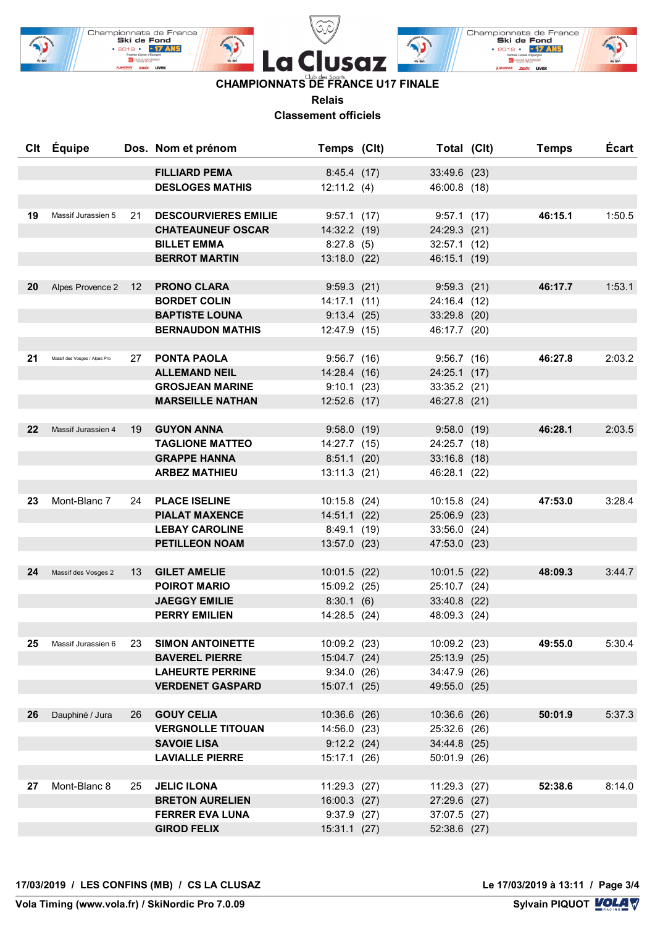

### **CHAMPIONNATS DE FRANCE U17 FINALE**

**Relais**

**Classement officiels**

| Clt | Équipe                        |    | Dos. Nom et prénom                         | Temps (Clt)               | Total (Clt)    | <b>Temps</b> | <b>Écart</b> |
|-----|-------------------------------|----|--------------------------------------------|---------------------------|----------------|--------------|--------------|
|     |                               |    | <b>FILLIARD PEMA</b>                       | 8:45.4(17)                | 33:49.6 (23)   |              |              |
|     |                               |    | <b>DESLOGES MATHIS</b>                     | 12:11.2(4)                | 46:00.8 (18)   |              |              |
|     |                               |    |                                            |                           |                |              |              |
| 19  | Massif Jurassien 5            | 21 | <b>DESCOURVIERES EMILIE</b>                | 9:57.1(17)                | 9:57.1(17)     | 46:15.1      | 1:50.5       |
|     |                               |    | <b>CHATEAUNEUF OSCAR</b>                   | 14:32.2 (19)              | 24:29.3 (21)   |              |              |
|     |                               |    | <b>BILLET EMMA</b>                         | 8:27.8(5)                 | 32:57.1 (12)   |              |              |
|     |                               |    | <b>BERROT MARTIN</b>                       | 13:18.0 (22)              | 46:15.1 (19)   |              |              |
|     |                               |    |                                            |                           |                |              |              |
| 20  | Alpes Provence 2              | 12 | <b>PRONO CLARA</b>                         | 9:59.3(21)                | 9:59.3(21)     | 46:17.7      | 1:53.1       |
|     |                               |    | <b>BORDET COLIN</b>                        | $14:17.1$ (11)            | 24:16.4 (12)   |              |              |
|     |                               |    | <b>BAPTISTE LOUNA</b>                      | 9:13.4(25)                | 33:29.8 (20)   |              |              |
|     |                               |    | <b>BERNAUDON MATHIS</b>                    | 12:47.9 (15)              | 46:17.7 (20)   |              |              |
|     |                               |    |                                            |                           |                |              |              |
| 21  | Massif des Vosges / Alpes Pro | 27 | <b>PONTA PAOLA</b>                         | 9:56.7(16)                | 9:56.7(16)     | 46:27.8      | 2:03.2       |
|     |                               |    | <b>ALLEMAND NEIL</b>                       | 14:28.4 (16)              | 24:25.1 (17)   |              |              |
|     |                               |    | <b>GROSJEAN MARINE</b>                     | 9:10.1(23)                | 33:35.2 (21)   |              |              |
|     |                               |    | <b>MARSEILLE NATHAN</b>                    | 12:52.6 (17)              | 46:27.8 (21)   |              |              |
|     |                               |    |                                            |                           |                |              |              |
| 22  | Massif Jurassien 4            | 19 | <b>GUYON ANNA</b>                          | 9:58.0(19)                | $9:58.0$ (19)  | 46:28.1      | 2:03.5       |
|     |                               |    | <b>TAGLIONE MATTEO</b>                     | 14:27.7 (15)              | 24:25.7 (18)   |              |              |
|     |                               |    | <b>GRAPPE HANNA</b>                        | 8:51.1(20)                | $33:16.8$ (18) |              |              |
|     |                               |    | <b>ARBEZ MATHIEU</b>                       | 13:11.3 (21)              | 46:28.1 (22)   |              |              |
|     |                               |    |                                            |                           |                |              |              |
| 23  | Mont-Blanc 7                  | 24 | <b>PLACE ISELINE</b>                       | 10:15.8 (24)              | $10:15.8$ (24) | 47:53.0      | 3:28.4       |
|     |                               |    | <b>PIALAT MAXENCE</b>                      | 14:51.1 (22)              | 25:06.9 (23)   |              |              |
|     |                               |    | <b>LEBAY CAROLINE</b>                      | 8:49.1(19)                | 33:56.0 (24)   |              |              |
|     |                               |    | <b>PETILLEON NOAM</b>                      | 13:57.0 (23)              | 47:53.0 (23)   |              |              |
|     |                               |    |                                            |                           |                |              |              |
| 24  | Massif des Vosges 2           | 13 | <b>GILET AMELIE</b><br><b>POIROT MARIO</b> | $10:01.5$ (22)            | $10:01.5$ (22) | 48:09.3      | 3:44.7       |
|     |                               |    | <b>JAEGGY EMILIE</b>                       | 15:09.2 (25)<br>8:30.1(6) | 25:10.7 (24)   |              |              |
|     |                               |    | <b>PERRY EMILIEN</b>                       | 14:28.5 (24)              | 33:40.8 (22)   |              |              |
|     |                               |    |                                            |                           | 48:09.3 (24)   |              |              |
| 25  | Massif Jurassien 6            | 23 | <b>SIMON ANTOINETTE</b>                    | 10:09.2 (23)              | 10:09.2 (23)   | 49:55.0      | 5:30.4       |
|     |                               |    | <b>BAVEREL PIERRE</b>                      | 15:04.7 (24)              | 25:13.9 (25)   |              |              |
|     |                               |    | <b>LAHEURTE PERRINE</b>                    | 9:34.0(26)                | 34:47.9 (26)   |              |              |
|     |                               |    | <b>VERDENET GASPARD</b>                    | 15:07.1 (25)              | 49:55.0 (25)   |              |              |
|     |                               |    |                                            |                           |                |              |              |
| 26  | Dauphiné / Jura               | 26 | <b>GOUY CELIA</b>                          | 10:36.6 (26)              | 10:36.6 (26)   | 50:01.9      | 5:37.3       |
|     |                               |    | <b>VERGNOLLE TITOUAN</b>                   | 14:56.0 (23)              | 25:32.6 (26)   |              |              |
|     |                               |    | <b>SAVOIE LISA</b>                         | $9:12.2$ (24)             | 34:44.8 (25)   |              |              |
|     |                               |    | <b>LAVIALLE PIERRE</b>                     | 15:17.1 (26)              | 50:01.9 (26)   |              |              |
|     |                               |    |                                            |                           |                |              |              |
| 27  | Mont-Blanc 8                  | 25 | <b>JELIC ILONA</b>                         | 11:29.3 (27)              | 11:29.3 (27)   | 52:38.6      | 8:14.0       |
|     |                               |    | <b>BRETON AURELIEN</b>                     | 16:00.3 (27)              | 27:29.6 (27)   |              |              |
|     |                               |    | <b>FERRER EVA LUNA</b>                     | $9:37.9$ (27)             | 37:07.5 (27)   |              |              |
|     |                               |    | <b>GIROD FELIX</b>                         | $15:31.1$ (27)            | 52:38.6 (27)   |              |              |
|     |                               |    |                                            |                           |                |              |              |